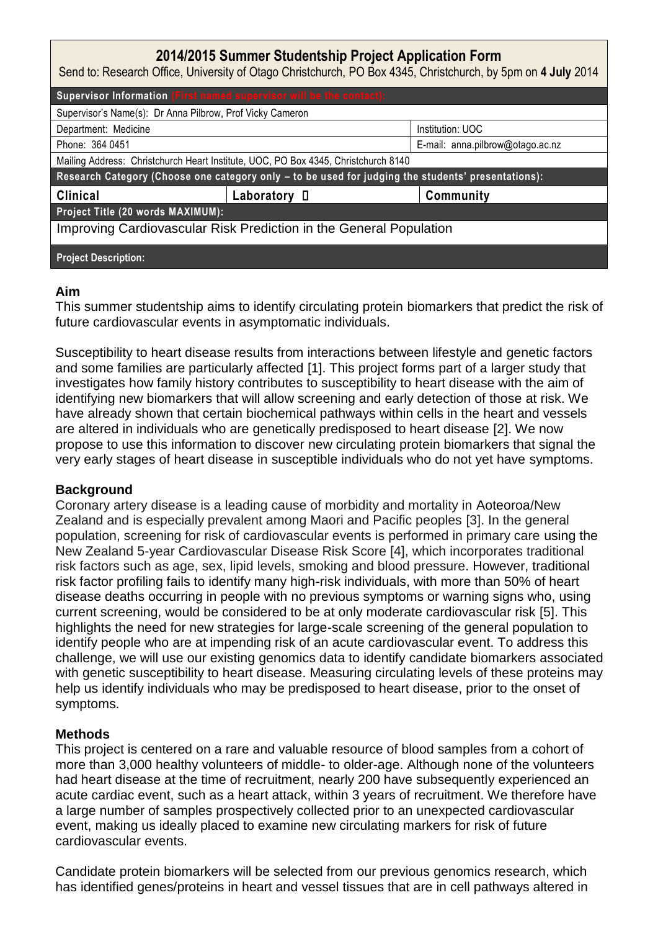# **2014/2015 Summer Studentship Project Application Form**

Send to: Research Office, University of Otago Christchurch, PO Box 4345, Christchurch, by 5pm on **4 July** 2014

| Supervisor Information (First named supervisor will be the contact):                               |              |                                  |
|----------------------------------------------------------------------------------------------------|--------------|----------------------------------|
| Supervisor's Name(s): Dr Anna Pilbrow, Prof Vicky Cameron                                          |              |                                  |
| Department: Medicine                                                                               |              | Institution: UOC                 |
| Phone: 364 0451                                                                                    |              | E-mail: anna.pilbrow@otago.ac.nz |
| Mailing Address: Christchurch Heart Institute, UOC, PO Box 4345, Christchurch 8140                 |              |                                  |
| Research Category (Choose one category only - to be used for judging the students' presentations): |              |                                  |
| <b>Clinical</b>                                                                                    | Laboratory D | Community                        |
| Project Title (20 words MAXIMUM):                                                                  |              |                                  |
| Improving Cardiovascular Risk Prediction in the General Population                                 |              |                                  |
| <b>Project Description:</b>                                                                        |              |                                  |

#### **Aim**

This summer studentship aims to identify circulating protein biomarkers that predict the risk of future cardiovascular events in asymptomatic individuals.

Susceptibility to heart disease results from interactions between lifestyle and genetic factors and some families are particularly affected [1]. This project forms part of a larger study that investigates how family history contributes to susceptibility to heart disease with the aim of identifying new biomarkers that will allow screening and early detection of those at risk. We have already shown that certain biochemical pathways within cells in the heart and vessels are altered in individuals who are genetically predisposed to heart disease [2]. We now propose to use this information to discover new circulating protein biomarkers that signal the very early stages of heart disease in susceptible individuals who do not yet have symptoms.

### **Background**

Coronary artery disease is a leading cause of morbidity and mortality in Aoteoroa/New Zealand and is especially prevalent among Maori and Pacific peoples [3]. In the general population, screening for risk of cardiovascular events is performed in primary care using the New Zealand 5-year Cardiovascular Disease Risk Score [4], which incorporates traditional risk factors such as age, sex, lipid levels, smoking and blood pressure. However, traditional risk factor profiling fails to identify many high-risk individuals, with more than 50% of heart disease deaths occurring in people with no previous symptoms or warning signs who, using current screening, would be considered to be at only moderate cardiovascular risk [5]. This highlights the need for new strategies for large-scale screening of the general population to identify people who are at impending risk of an acute cardiovascular event. To address this challenge, we will use our existing genomics data to identify candidate biomarkers associated with genetic susceptibility to heart disease. Measuring circulating levels of these proteins may help us identify individuals who may be predisposed to heart disease, prior to the onset of symptoms.

### **Methods**

This project is centered on a rare and valuable resource of blood samples from a cohort of more than 3,000 healthy volunteers of middle- to older-age. Although none of the volunteers had heart disease at the time of recruitment, nearly 200 have subsequently experienced an acute cardiac event, such as a heart attack, within 3 years of recruitment. We therefore have a large number of samples prospectively collected prior to an unexpected cardiovascular event, making us ideally placed to examine new circulating markers for risk of future cardiovascular events.

Candidate protein biomarkers will be selected from our previous genomics research, which has identified genes/proteins in heart and vessel tissues that are in cell pathways altered in